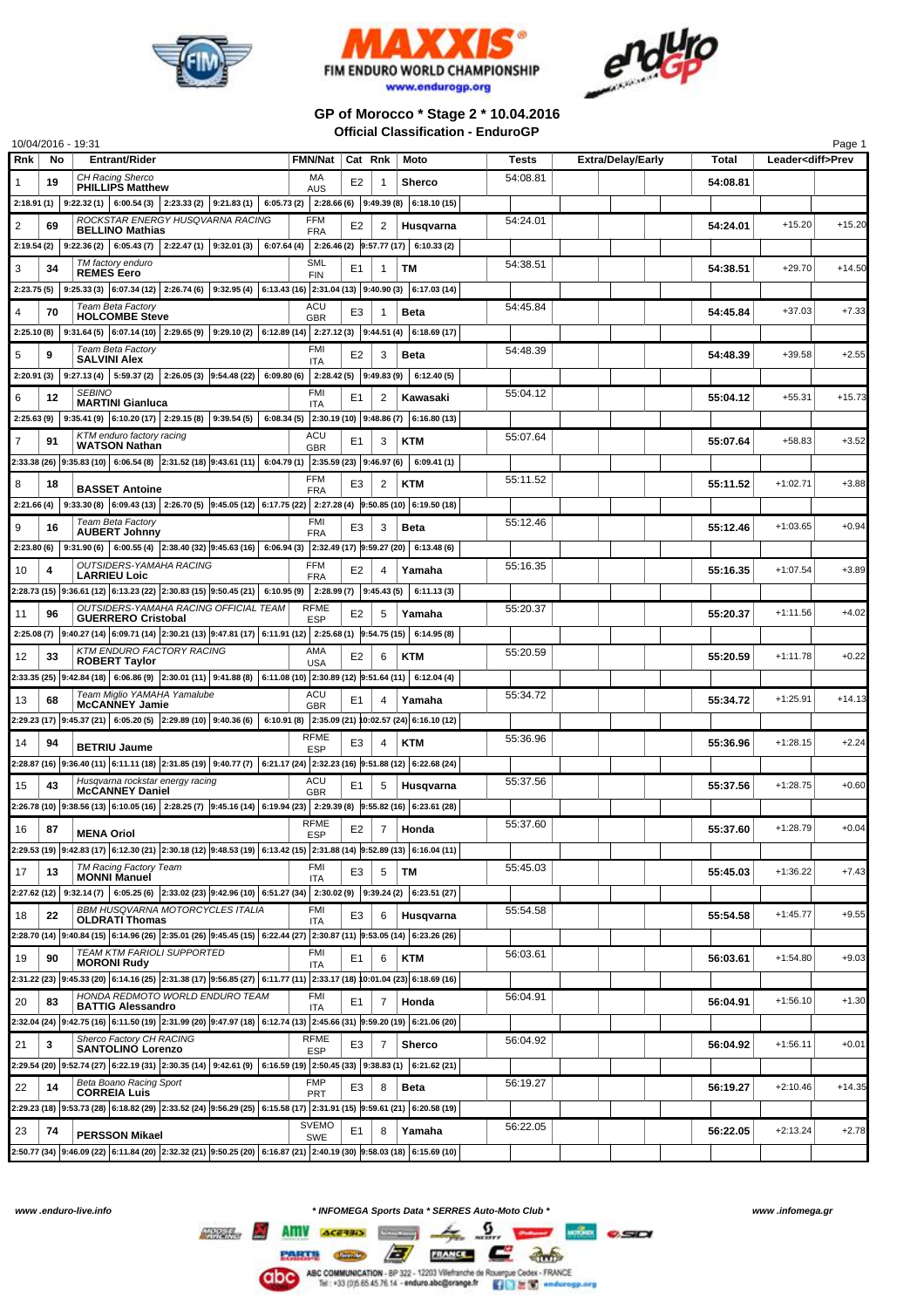





## **GP of Morocco \* Stage 2 \* 10.04.2016 Official Classification - EnduroGP**

|             |    | 10/04/2016 - 19:31                                                                                                                                                |                           |                |                |                                                     |          |                          |          |                          | Page 1   |
|-------------|----|-------------------------------------------------------------------------------------------------------------------------------------------------------------------|---------------------------|----------------|----------------|-----------------------------------------------------|----------|--------------------------|----------|--------------------------|----------|
| Rnk         | No | <b>Entrant/Rider</b>                                                                                                                                              | <b>FMN/Nat</b>            | Cat Rnk        |                | Moto                                                | Tests    | <b>Extra/Delay/Early</b> | Total    | Leader <diff>Prev</diff> |          |
|             | 19 | CH Racing Sherco<br><b>PHILLIPS Matthew</b>                                                                                                                       | МA<br><b>AUS</b>          | E2             | -1             | <b>Sherco</b>                                       | 54:08.81 |                          | 54:08.81 |                          |          |
|             |    | 2:18.91 (1)   9:22.32 (1)   6:00.54 (3)<br>$2:23.33(2)$ 9:21.83(1)                                                                                                |                           |                |                | $6:05.73(2)$ 2:28.66 (6) 9:49.39 (8) 6:18.10 (15)   |          |                          |          |                          |          |
| 2           | 69 | ROCKSTAR ENERGY HUSQVARNA RACING                                                                                                                                  | <b>FFM</b>                | E2             | 2              | Husqvarna                                           | 54:24.01 |                          | 54:24.01 | $+15.20$                 | $+15.20$ |
| 2:19.54 (2) |    | <b>BELLINO Mathias</b><br>$9:22.36(2)$ 6:05.43(7)<br>$2:22.47(1)$ 9:32.01(3)<br>6:07.64(4)                                                                        | <b>FRA</b>                |                |                | $2:26.46(2)$ 9:57.77 (17) 6:10.33 (2)               |          |                          |          |                          |          |
|             |    | TM factory enduro                                                                                                                                                 | <b>SML</b>                |                |                |                                                     | 54:38.51 |                          |          |                          |          |
| 3           | 34 | <b>REMES</b> Eero                                                                                                                                                 | <b>FIN</b>                | E1             | 1              | TM                                                  |          |                          | 54:38.51 | $+29.70$                 | $+14.50$ |
| 2:23.75 (5) |    | 9:25.33 (3) $ 6:07.34(12) $ 2:26.74 (6) 9:32.95 (4) $ 6:13.43(16) $ 2:31.04 (13) 9:40.90 (3) $ 6:17.03(14) $                                                      |                           |                |                |                                                     |          |                          |          |                          |          |
| 4           | 70 | Team Beta Factory<br><b>HOLCOMBE Steve</b>                                                                                                                        | ACU<br><b>GBR</b>         | E3             |                | <b>Beta</b>                                         | 54:45.84 |                          | 54:45.84 | $+37.03$                 | $+7.33$  |
|             |    | $2:25.10(8)$   $9:31.64(5)$   $6:07.14(10)$   $2:29.65(9)$   $9:29.10(2)$   $6:12.89(14)$   $2:27.12(3)$   $9:44.51(4)$   $6:18.69(17)$                           |                           |                |                |                                                     |          |                          |          |                          |          |
| 5           | 9  | Team Beta Factory<br><b>SALVINI Alex</b>                                                                                                                          | FMI<br><b>ITA</b>         | E2             | 3              | <b>Beta</b>                                         | 54:48.39 |                          | 54:48.39 | $+39.58$                 | $+2.55$  |
| 2:20.91 (3) |    | $9:27.13(4)$ 5:59.37(2)<br>$2:26.05(3)$ 9:54.48 (22) 6:09.80 (6)                                                                                                  | $2:28.42(5)$ 9:49.83(9)   |                |                | 6:12.40(5)                                          |          |                          |          |                          |          |
| 6           | 12 | <b>SEBINO</b>                                                                                                                                                     | <b>FMI</b>                | E1             | 2              | Kawasaki                                            | 55:04.12 |                          | 55:04.12 | +55.31                   | +15.73   |
|             |    | <b>MARTINI Gianluca</b><br>9:35.41 (9) 6:10.20 (17) 2:29.15 (8) 9:39.54 (5)                                                                                       | <b>ITA</b>                |                |                | $6:08.34(5)$ 2:30.19 (10) 9:48.86 (7) 6:16.80 (13)  |          |                          |          |                          |          |
| 2:25.63(9)  |    | KTM enduro factory racing                                                                                                                                         | ACU                       |                |                |                                                     | 55:07.64 |                          |          |                          |          |
|             | 91 | <b>WATSON Nathan</b>                                                                                                                                              | <b>GBR</b>                | E1             | 3              | KTM                                                 |          |                          | 55:07.64 | $+58.83$                 | $+3.52$  |
|             |    | $2:33.38(26)$ $9:35.83(10)$ 6:06.54 (8) $2:31.52(18)$ $9:43.61(11)$ 6:04.79 (1) $2:35.59(23)$ $9:46.97(6)$                                                        |                           |                |                | 6:09.41(1)                                          |          |                          |          |                          |          |
| 8           | 18 | <b>BASSET Antoine</b>                                                                                                                                             | <b>FFM</b><br><b>FRA</b>  | E3             | 2              | KTM                                                 | 55:11.52 |                          | 55:11.52 | $+1:02.71$               | $+3.88$  |
| 2:21.66(4)  |    | 9:33.30 (8) $ 6.09.43(13) $ 2:26.70 (5) $ 9.45.05(12) $ 6:17.75 (22) 2:27.28 (4) $ 9.50.85(10) $ 6:19.50 (18)                                                     |                           |                |                |                                                     |          |                          |          |                          |          |
| 9           | 16 | Team Beta Factory<br><b>AUBERT Johnny</b>                                                                                                                         | <b>FMI</b>                | E3             | 3              | Beta                                                | 55:12.46 |                          | 55:12.46 | $+1:03.65$               | $+0.94$  |
|             |    | 2:23.80 (6) $ 9:31.90(6) $ 6:00.55 (4) 2:38.40 (32) 9:45.63 (16) 6:06.94 (3) 2:32.49 (17) 9:59.27 (20) 6:13.48 (6)                                                | <b>FRA</b>                |                |                |                                                     |          |                          |          |                          |          |
|             |    | OUTSIDERS-YAMAHA RACING                                                                                                                                           | <b>FFM</b>                |                |                |                                                     | 55:16.35 |                          |          |                          | $+3.89$  |
| 10          | 4  | <b>LARRIEU Loic</b>                                                                                                                                               | <b>FRA</b>                | E <sub>2</sub> | 4              | Yamaha                                              |          |                          | 55:16.35 | $+1:07.54$               |          |
|             |    | 2:28.73 (15) 9:36.61 (12) 6:13.23 (22) 2:30.83 (15) 9:50.45 (21) 6:10.95 (9)                                                                                      | $2:28.99(7)$ 9:45.43(5)   |                |                | 6:11.13(3)                                          |          |                          |          |                          |          |
| 11          | 96 | OUTSIDERS-YAMAHA RACING OFFICIAL TEAM<br><b>GUERRERO Cristobal</b>                                                                                                | <b>RFME</b><br><b>ESP</b> | E2             | 5              | Yamaha                                              | 55:20.37 |                          | 55:20.37 | $+1:11.56$               | $+4.02$  |
|             |    | 2:25.08 (7) 9:40.27 (14) 6:09.71 (14) 2:30.21 (13) 9:47.81 (17) 6:11.91 (12) 2:25.68 (1) 9:54.75 (15) 6:14.95 (8)                                                 |                           |                |                |                                                     |          |                          |          |                          |          |
| 12          | 33 | <b>KTM ENDURO FACTORY RACING</b><br><b>ROBERT Taylor</b>                                                                                                          | AMA<br><b>USA</b>         | E <sub>2</sub> | 6              | KTM                                                 | 55:20.59 |                          | 55:20.59 | $+1:11.78$               | $+0.22$  |
|             |    | $2:33.35(25)$ 9:42.84 (18) 6:06.86 (9) 2:30.01 (11) 9:41.88 (8) 6:11.08 (10) 2:30.89 (12) 9:51.64 (11) 6:12.04 (4)                                                |                           |                |                |                                                     |          |                          |          |                          |          |
| 13          | 68 | Team Miglio YAMAHA Yamalube                                                                                                                                       | ACU                       | E <sub>1</sub> | $\overline{4}$ | Yamaha                                              | 55:34.72 |                          | 55:34.72 | $+1:25.91$               | $+14.13$ |
|             |    | <b>McCANNEY Jamie</b><br>$2:29.23(17)$ $9:45.37(21)$ 6:05.20(5) 2:29.89(10) 9:40.36(6)                                                                            | <b>GBR</b>                |                |                | 6:10.91 (8) 2:35.09 (21) 10:02.57 (24) 6:16.10 (12) |          |                          |          |                          |          |
|             |    |                                                                                                                                                                   | <b>RFME</b>               |                |                |                                                     | 55:36.96 |                          |          |                          |          |
| 14          | 94 | <b>BETRIU Jaume</b>                                                                                                                                               | <b>ESP</b>                | E3             |                | <b>KTM</b>                                          |          |                          | 55:36.96 | $+1:28.15$               | $+2.24$  |
|             |    | 2:28.87 (16) 9:36.40 (11) 6:11.11 (18) 2:31.85 (19) 9:40.77 (7) 6:21.17 (24) 2:32.23 (16) 9:51.88 (12) 6:22.68 (24)                                               |                           |                |                |                                                     |          |                          |          |                          |          |
| 15          | 43 | Husqvarna rockstar energy racing<br><b>McCANNEY Daniel</b>                                                                                                        | ACU<br><b>GBR</b>         | E1             | 5              | Husqvarna                                           | 55:37.56 |                          | 55:37.56 | $+1:28.75$               | $+0.60$  |
|             |    | $2:26.78(10)$ 9:38.56 (13) 6:10.05 (16) 2:28.25 (7) 9:45.16 (14) 6:19.94 (23) 2:29.39 (8) 9:55.82 (16) 6:23.61 (28)                                               |                           |                |                |                                                     |          |                          |          |                          |          |
| 16          | 87 | <b>MENA Oriol</b>                                                                                                                                                 | <b>RFME</b><br><b>ESP</b> | E <sub>2</sub> | 7              | Honda                                               | 55:37.60 |                          | 55:37.60 | $+1:28.79$               | $+0.04$  |
|             |    | 2:29.53 (19) 9:42.83 (17) 6:12.30 (21) 2:30.18 (12) 9:48.53 (19) 6:13.42 (15) 2:31.88 (14) 9:52.89 (13) 6:16.04 (11)                                              |                           |                |                |                                                     |          |                          |          |                          |          |
| 17          | 13 | TM Racing Factory Team                                                                                                                                            | FMI                       | E <sub>3</sub> | 5              | ТM                                                  | 55:45.03 |                          | 55:45.03 | $+1:36.22$               | $+7.43$  |
|             |    | <b>MONNI Manuel</b><br>$2:27.62$ (12) $ 9:32.14$ (7) $ 6:05.25$ (6) $ 2:33.02$ (23) $ 9:42.96$ (10) $ 6:51.27$ (34) $ 2:30.02$ (9) $ 9:39.24$ (2) $ 6:23.51$ (27) | <b>ITA</b>                |                |                |                                                     |          |                          |          |                          |          |
|             |    | BBM HUSQVARNA MOTORCYCLES ITALIA                                                                                                                                  | <b>FMI</b>                |                |                |                                                     | 55:54.58 |                          |          |                          |          |
| 18          | 22 | <b>OLDRATI Thomas</b>                                                                                                                                             | ITA                       | E3             | 6              | Husqvarna                                           |          |                          | 55:54.58 | $+1:45.77$               | $+9.55$  |
|             |    | 2:28.70 (14) 9:40.84 (15) 6:14.96 (26) 2:35.01 (26) 9:45.45 (15) 6:22.44 (27) 2:30.87 (11) 9:53.05 (14) 6:23.26 (26)                                              |                           |                |                |                                                     |          |                          |          |                          |          |
| 19          | 90 | TEAM KTM FARIOLI SUPPORTED<br><b>MORONI Rudy</b>                                                                                                                  | FMI<br><b>ITA</b>         | E <sub>1</sub> | 6              | <b>KTM</b>                                          | 56:03.61 |                          | 56:03.61 | $+1:54.80$               | $+9.03$  |
|             |    | 2:31.22 (23) 9:45.33 (20) 6:14.16 (25) 2:31.38 (17) 9:56.85 (27) 6:11.77 (11) 2:33.17 (18) 10:01.04 (23) 6:18.69 (16)                                             |                           |                |                |                                                     |          |                          |          |                          |          |
| 20          | 83 | HONDA REDMOTO WORLD ENDURO TEAM                                                                                                                                   | FMI                       | E <sub>1</sub> | $\overline{7}$ | Honda                                               | 56:04.91 |                          | 56:04.91 | $+1:56.10$               | $+1.30$  |
|             |    | <b>BATTIG Alessandro</b><br>2:32.04 (24) 9:42.75 (16) 6:11.50 (19) 2:31.99 (20) 9:47.97 (18) 6:12.74 (13) 2:45.66 (31) 9:59.20 (19) 6:21.06 (20)                  | <b>ITA</b>                |                |                |                                                     |          |                          |          |                          |          |
|             |    | Sherco Factory CH RACING                                                                                                                                          | <b>RFME</b>               |                |                |                                                     | 56:04.92 |                          |          |                          |          |
| 21          | 3  | <b>SANTOLINO Lorenzo</b>                                                                                                                                          | <b>ESP</b>                | E3             | $\overline{7}$ | <b>Sherco</b>                                       |          |                          | 56:04.92 | $+1:56.11$               | $+0.01$  |
|             |    | 2:29.54 (20) 9:52.74 (27) 6:22.19 (31) 2:30.35 (14) 9:42.61 (9) 6:16.59 (19) 2:50.45 (33) 9:38.83 (1) 6:21.62 (21)                                                |                           |                |                |                                                     |          |                          |          |                          |          |
| 22          | 14 | Beta Boano Racing Sport<br><b>CORREIA Luis</b>                                                                                                                    | <b>FMP</b><br><b>PRT</b>  | E3             | 8              | <b>Beta</b>                                         | 56:19.27 |                          | 56:19.27 | $+2:10.46$               | $+14.35$ |
|             |    | 2:29.23 (18) 9:53.73 (28) 6:18.82 (29) 2:33.52 (24) 9:56.29 (25) 6:15.58 (17) 2:31.91 (15) 9:59.61 (21) 6:20.58 (19)                                              |                           |                |                |                                                     |          |                          |          |                          |          |
| 23          | 74 | <b>PERSSON Mikael</b>                                                                                                                                             | <b>SVEMO</b><br>SWE       | E <sub>1</sub> | 8              | Yamaha                                              | 56:22.05 |                          | 56:22.05 | $+2:13.24$               | $+2.78$  |
|             |    | $2:50.77(34)$ $9:46.09(22)$ $6:11.84(20)$ $2:32.32(21)$ $9:50.25(20)$ $6:16.87(21)$ $2:40.19(30)$ $9:58.03(18)$ $6:15.69(10)$                                     |                           |                |                |                                                     |          |                          |          |                          |          |
|             |    |                                                                                                                                                                   |                           |                |                |                                                     |          |                          |          |                          |          |

*www .enduro-live.info \* INFOMEGA Sports Data \* SERRES Auto-Moto Club \* www .infomega.gr*

**BASE OF THE CAS** ABC COMMUNICATION - BP 322 - 12203 Vitefranche de Rouerque Cedex - FRANCE<br>Tel : +33 (0)5.65.45.76.14 - enduro.abc@erange.fr ( C ) ( C ) ( C ) endurosp.org

 $\frac{1}{\sqrt{2}}$  any  $\frac{1}{\sqrt{2}}$   $\frac{1}{\sqrt{2}}$   $\frac{1}{\sqrt{2}}$   $\frac{1}{\sqrt{2}}$   $\frac{1}{\sqrt{2}}$   $\frac{1}{\sqrt{2}}$